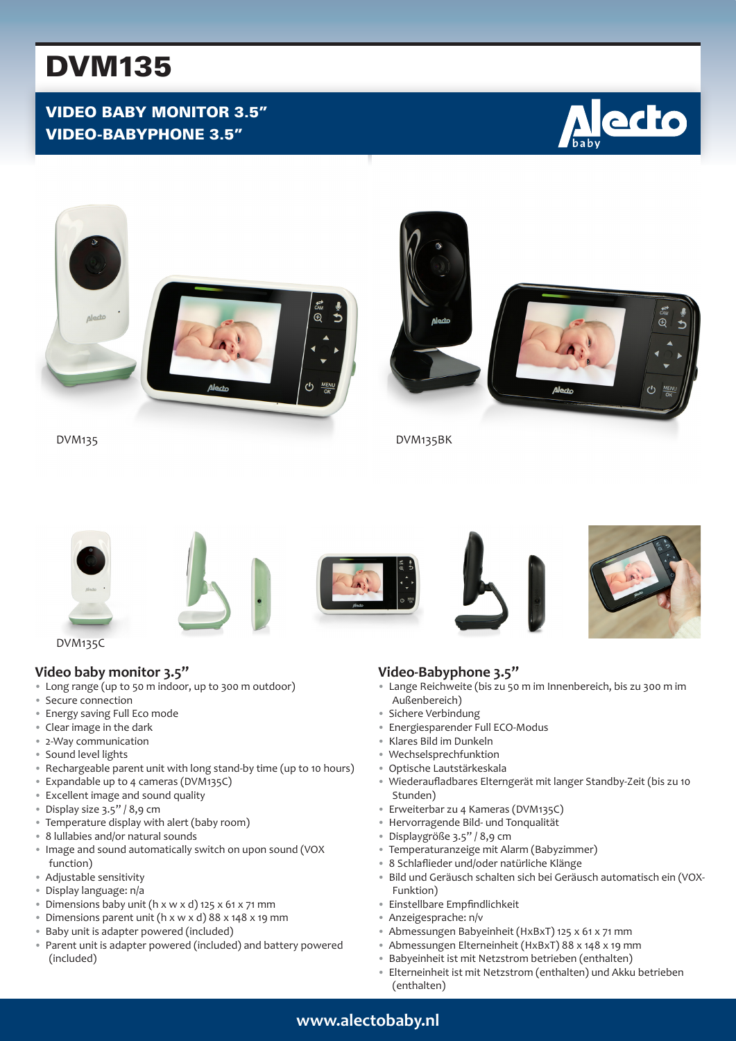# DVM135

# VIDEO BABY MONITOR 3.5" VIDEO-BABYPHONE 3.5"







DVM135C

## **Video baby monitor 3.5"**

- Long range (up to 50 m indoor, up to 300 m outdoor)
- Secure connection
- Energy saving Full Eco mode
- Clear image in the dark
- 2-Way communication
- Sound level lights
- Rechargeable parent unit with long stand-by time (up to 10 hours)
- Expandable up to 4 cameras (DVM135C)
- Excellent image and sound quality
- Display size 3.5" / 8,9 cm
- Temperature display with alert (baby room)
- 8 lullabies and/or natural sounds
- Image and sound automatically switch on upon sound (VOX function)
- Adjustable sensitivity
- Display language: n/a
- Dimensions baby unit (h x w x d) 125 x 61 x 71 mm
- Dimensions parent unit (h x w x d) 88 x 148 x 19 mm
- Baby unit is adapter powered (included)
- Parent unit is adapter powered (included) and battery powered (included)

## **Video-Babyphone 3.5"**

- Lange Reichweite (bis zu 50 m im Innenbereich, bis zu 300 m im Außenbereich)
- Sichere Verbindung
- Energiesparender Full ECO-Modus
- Klares Bild im Dunkeln
- Wechselsprechfunktion
- Optische Lautstärkeskala
- Wiederaufladbares Elterngerät mit langer Standby-Zeit (bis zu 10 Stunden)
- Erweiterbar zu 4 Kameras (DVM135C)
- Hervorragende Bild- und Tonqualität
- Displaygröße 3.5" / 8,9 cm
- Temperaturanzeige mit Alarm (Babyzimmer)
- 8 Schlaflieder und/oder natürliche Klänge
- Bild und Geräusch schalten sich bei Geräusch automatisch ein (VOX-Funktion)
- Einstellbare Empfindlichkeit
- Anzeigesprache: n/v
- Abmessungen Babyeinheit (HxBxT) 125 x 61 x 71 mm
- Abmessungen Elterneinheit (HxBxT) 88 x 148 x 19 mm
- Babyeinheit ist mit Netzstrom betrieben (enthalten)
- Elterneinheit ist mit Netzstrom (enthalten) und Akku betrieben (enthalten)